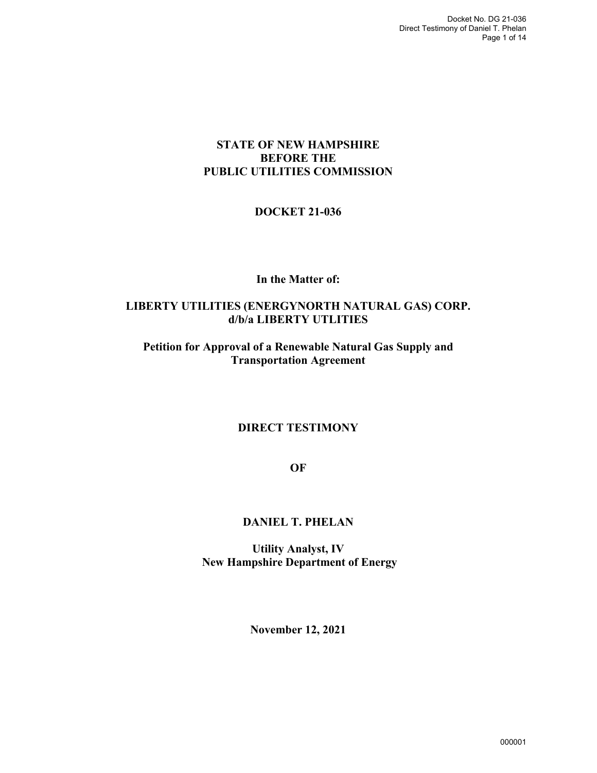# **STATE OF NEW HAMPSHIRE BEFORE THE PUBLIC UTILITIES COMMISSION**

# **DOCKET 21-036**

### **In the Matter of:**

### **LIBERTY UTILITIES (ENERGYNORTH NATURAL GAS) CORP. d/b/a LIBERTY UTLITIES**

# **Petition for Approval of a Renewable Natural Gas Supply and Transportation Agreement**

# **DIRECT TESTIMONY**

**OF** 

# **DANIEL T. PHELAN**

**Utility Analyst, IV New Hampshire Department of Energy** 

**November 12, 2021**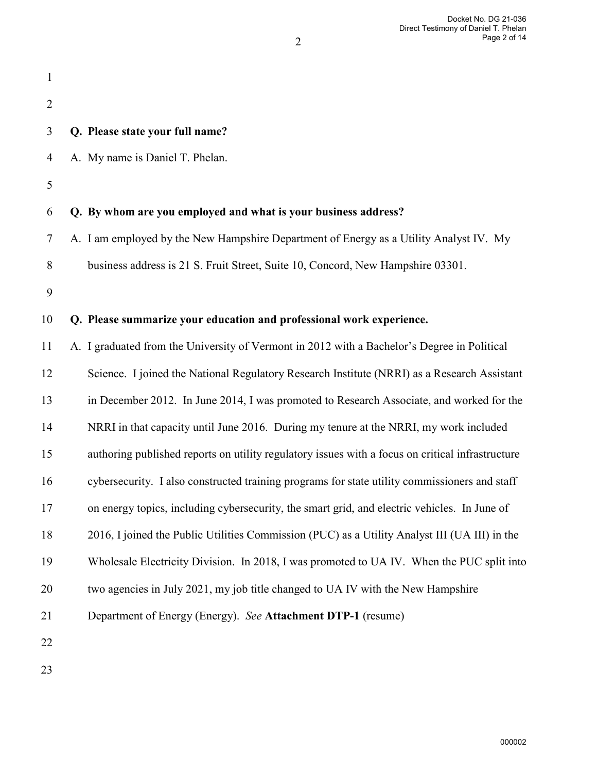| $\mathbf{1}$   |                                                                                                  |
|----------------|--------------------------------------------------------------------------------------------------|
| $\overline{2}$ |                                                                                                  |
| 3              | Q. Please state your full name?                                                                  |
| 4              | A. My name is Daniel T. Phelan.                                                                  |
| 5              |                                                                                                  |
| 6              | Q. By whom are you employed and what is your business address?                                   |
| 7              | A. I am employed by the New Hampshire Department of Energy as a Utility Analyst IV. My           |
| 8              | business address is 21 S. Fruit Street, Suite 10, Concord, New Hampshire 03301.                  |
| 9              |                                                                                                  |
| 10             | Q. Please summarize your education and professional work experience.                             |
| 11             | A. I graduated from the University of Vermont in 2012 with a Bachelor's Degree in Political      |
| 12             | Science. I joined the National Regulatory Research Institute (NRRI) as a Research Assistant      |
| 13             | in December 2012. In June 2014, I was promoted to Research Associate, and worked for the         |
| 14             | NRRI in that capacity until June 2016. During my tenure at the NRRI, my work included            |
| 15             | authoring published reports on utility regulatory issues with a focus on critical infrastructure |
| 16             | cybersecurity. I also constructed training programs for state utility commissioners and staff    |
| 17             | on energy topics, including cybersecurity, the smart grid, and electric vehicles. In June of     |
| 18             | 2016, I joined the Public Utilities Commission (PUC) as a Utility Analyst III (UA III) in the    |
| 19             | Wholesale Electricity Division. In 2018, I was promoted to UA IV. When the PUC split into        |
| 20             | two agencies in July 2021, my job title changed to UA IV with the New Hampshire                  |
| 21             | Department of Energy (Energy). See Attachment DTP-1 (resume)                                     |
| 22             |                                                                                                  |
|                |                                                                                                  |

2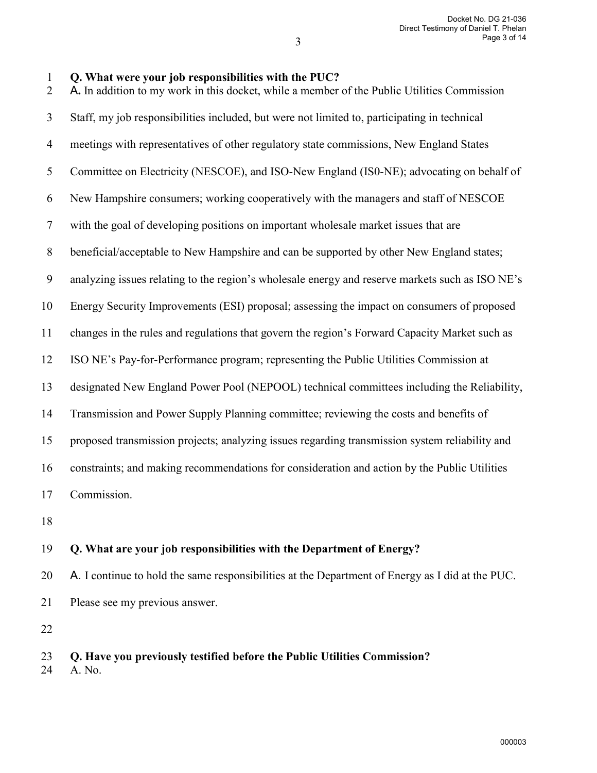#### 3

| Q. What were your job responsibilities with the PUC? |  |
|------------------------------------------------------|--|
|------------------------------------------------------|--|

2 A**.** In addition to my work in this docket, while a member of the Public Utilities Commission 3 Staff, my job responsibilities included, but were not limited to, participating in technical 4 meetings with representatives of other regulatory state commissions, New England States 5 Committee on Electricity (NESCOE), and ISO-New England (IS0-NE); advocating on behalf of 6 New Hampshire consumers; working cooperatively with the managers and staff of NESCOE 7 with the goal of developing positions on important wholesale market issues that are 8 beneficial/acceptable to New Hampshire and can be supported by other New England states; 9 analyzing issues relating to the region's wholesale energy and reserve markets such as ISO NE's 10 Energy Security Improvements (ESI) proposal; assessing the impact on consumers of proposed 11 changes in the rules and regulations that govern the region's Forward Capacity Market such as 12 ISO NE's Pay-for-Performance program; representing the Public Utilities Commission at 13 designated New England Power Pool (NEPOOL) technical committees including the Reliability, 14 Transmission and Power Supply Planning committee; reviewing the costs and benefits of 15 proposed transmission projects; analyzing issues regarding transmission system reliability and 16 constraints; and making recommendations for consideration and action by the Public Utilities 17 Commission. 18

### 19 **Q. What are your job responsibilities with the Department of Energy?**

20 A. I continue to hold the same responsibilities at the Department of Energy as I did at the PUC. 21 Please see my previous answer.

22

# 23 **Q. Have you previously testified before the Public Utilities Commission?**

24 A. No.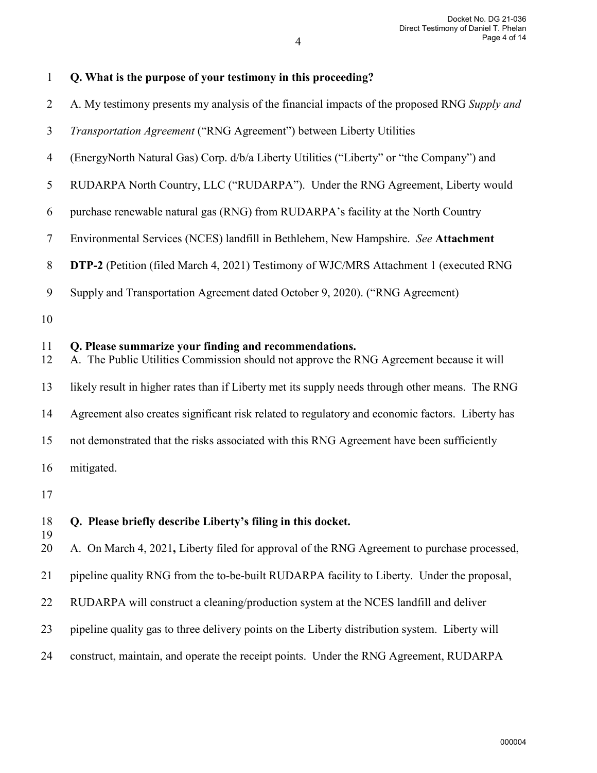| $\mathbf{1}$   | Q. What is the purpose of your testimony in this proceeding?                                                                                     |
|----------------|--------------------------------------------------------------------------------------------------------------------------------------------------|
| $\overline{2}$ | A. My testimony presents my analysis of the financial impacts of the proposed RNG Supply and                                                     |
| 3              | Transportation Agreement ("RNG Agreement") between Liberty Utilities                                                                             |
| $\overline{4}$ | (EnergyNorth Natural Gas) Corp. d/b/a Liberty Utilities ("Liberty" or "the Company") and                                                         |
| 5              | RUDARPA North Country, LLC ("RUDARPA"). Under the RNG Agreement, Liberty would                                                                   |
| 6              | purchase renewable natural gas (RNG) from RUDARPA's facility at the North Country                                                                |
| $\tau$         | Environmental Services (NCES) landfill in Bethlehem, New Hampshire. See Attachment                                                               |
| $8\,$          | <b>DTP-2</b> (Petition (filed March 4, 2021) Testimony of WJC/MRS Attachment 1 (executed RNG                                                     |
| 9              | Supply and Transportation Agreement dated October 9, 2020). ("RNG Agreement)                                                                     |
| 10             |                                                                                                                                                  |
| 11<br>12       | Q. Please summarize your finding and recommendations.<br>A. The Public Utilities Commission should not approve the RNG Agreement because it will |
| 13             | likely result in higher rates than if Liberty met its supply needs through other means. The RNG                                                  |
| 14             | Agreement also creates significant risk related to regulatory and economic factors. Liberty has                                                  |
| 15             | not demonstrated that the risks associated with this RNG Agreement have been sufficiently                                                        |
| 16             | mitigated.                                                                                                                                       |
| 17             |                                                                                                                                                  |
| 18<br>19<br>20 | Q. Please briefly describe Liberty's filing in this docket.                                                                                      |
|                | A. On March 4, 2021, Liberty filed for approval of the RNG Agreement to purchase processed,                                                      |
| 21             | pipeline quality RNG from the to-be-built RUDARPA facility to Liberty. Under the proposal,                                                       |
| 22             | RUDARPA will construct a cleaning/production system at the NCES landfill and deliver                                                             |
| 23             | pipeline quality gas to three delivery points on the Liberty distribution system. Liberty will                                                   |
| 24             | construct, maintain, and operate the receipt points. Under the RNG Agreement, RUDARPA                                                            |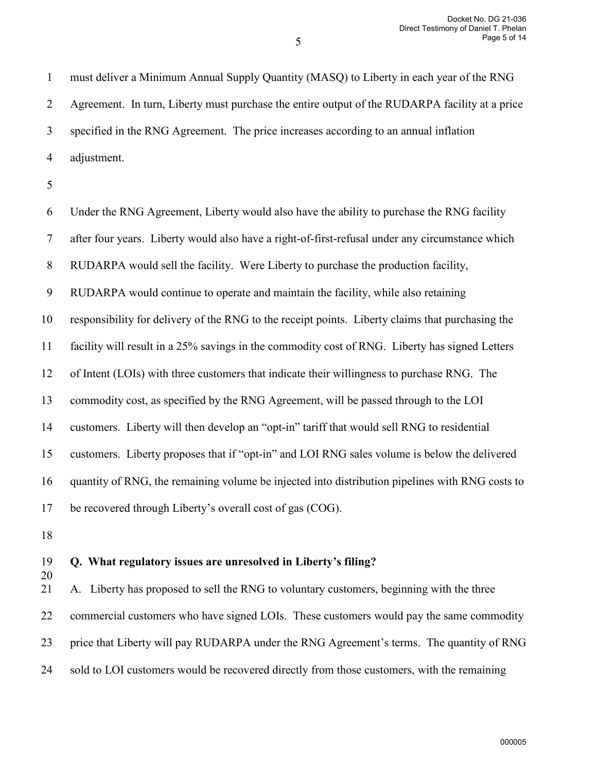1 must deliver a Minimum Annual Supply Quantity (MASQ) to Liberty in each year of the RNG 2 Agreement. In turn, Liberty must purchase the entire output of the RUDARPA facility at a price 3 specified in the RNG Agreement. The price increases according to an annual inflation 4 adjustment.

5

6 Under the RNG Agreement, Liberty would also have the ability to purchase the RNG facility 7 after four years. Liberty would also have a right-of-first-refusal under any circumstance which 8 RUDARPA would sell the facility. Were Liberty to purchase the production facility, 9 RUDARPA would continue to operate and maintain the facility, while also retaining 10 responsibility for delivery of the RNG to the receipt points. Liberty claims that purchasing the 11 facility will result in a 25% savings in the commodity cost of RNG. Liberty has signed Letters 12 of Intent (LOIs) with three customers that indicate their willingness to purchase RNG. The 13 commodity cost, as specified by the RNG Agreement, will be passed through to the LOI 14 customers. Liberty will then develop an "opt-in" tariff that would sell RNG to residential 15 customers. Liberty proposes that if "opt-in" and LOI RNG sales volume is below the delivered 16 quantity of RNG, the remaining volume be injected into distribution pipelines with RNG costs to 17 be recovered through Liberty's overall cost of gas (COG).

18

20

#### 19 **Q. What regulatory issues are unresolved in Liberty's filing?**

21 A.Liberty has proposed to sell the RNG to voluntary customers, beginning with the three 22 commercial customers who have signed LOIs. These customers would pay the same commodity 23 price that Liberty will pay RUDARPA under the RNG Agreement's terms. The quantity of RNG 24 sold to LOI customers would be recovered directly from those customers, with the remaining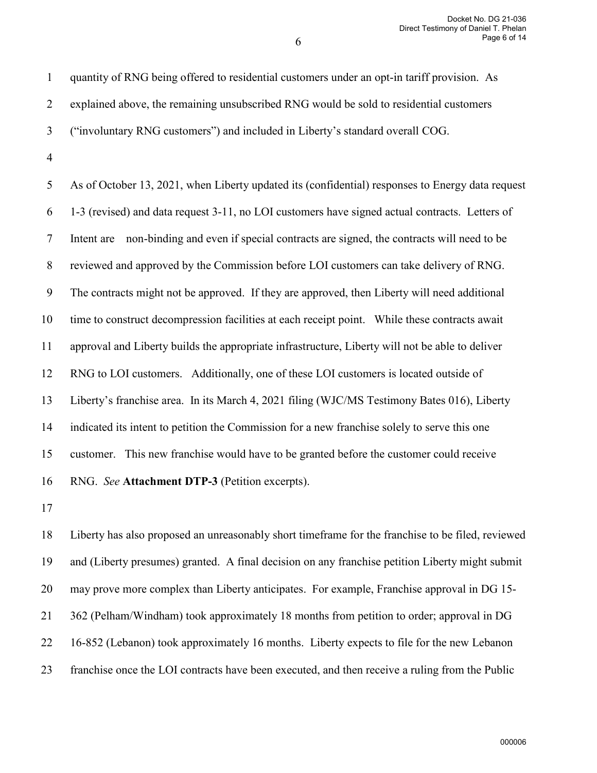6

2 explained above, the remaining unsubscribed RNG would be sold to residential customers 3 ("involuntary RNG customers") and included in Liberty's standard overall COG. 4 5 As of October 13, 2021, when Liberty updated its (confidential) responses to Energy data request 6 1-3 (revised) and data request 3-11, no LOI customers have signed actual contracts. Letters of

1 quantity of RNG being offered to residential customers under an opt-in tariff provision. As

7 Intent are non-binding and even if special contracts are signed, the contracts will need to be

8 reviewed and approved by the Commission before LOI customers can take delivery of RNG.

9 The contracts might not be approved. If they are approved, then Liberty will need additional

11 approval and Liberty builds the appropriate infrastructure, Liberty will not be able to deliver

10 time to construct decompression facilities at each receipt point. While these contracts await

12 RNG to LOI customers. Additionally, one of these LOI customers is located outside of

13 Liberty's franchise area. In its March 4, 2021 filing (WJC/MS Testimony Bates 016), Liberty

14 indicated its intent to petition the Commission for a new franchise solely to serve this one

15 customer. This new franchise would have to be granted before the customer could receive

16 RNG. *See* **Attachment DTP-3** (Petition excerpts).

17

18 Liberty has also proposed an unreasonably short timeframe for the franchise to be filed, reviewed 19 and (Liberty presumes) granted. A final decision on any franchise petition Liberty might submit 20 may prove more complex than Liberty anticipates. For example, Franchise approval in DG 15- 21 362 (Pelham/Windham) took approximately 18 months from petition to order; approval in DG 22 16-852 (Lebanon) took approximately 16 months. Liberty expects to file for the new Lebanon 23 franchise once the LOI contracts have been executed, and then receive a ruling from the Public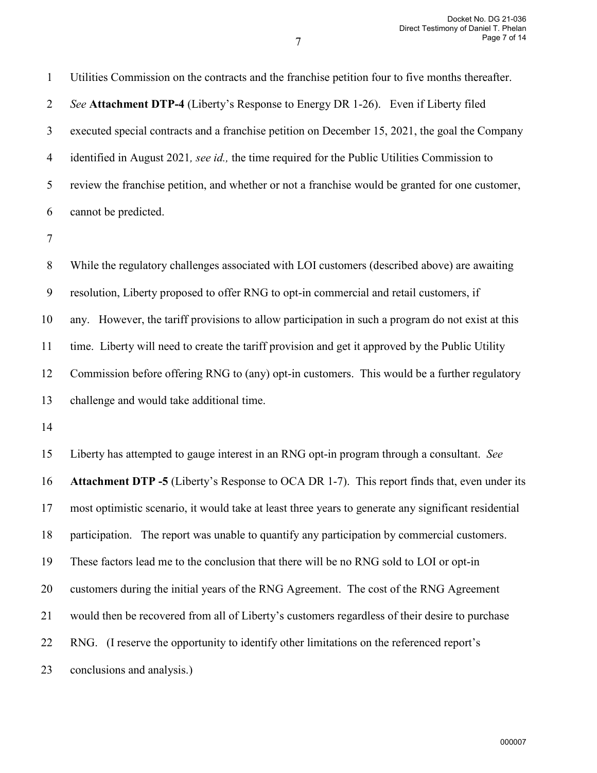1 Utilities Commission on the contracts and the franchise petition four to five months thereafter. 2 *See* **Attachment DTP-4** (Liberty's Response to Energy DR 1-26). Even if Liberty filed 3 executed special contracts and a franchise petition on December 15, 2021, the goal the Company 4 identified in August 2021*, see id.,* the time required for the Public Utilities Commission to 5 review the franchise petition, and whether or not a franchise would be granted for one customer, 6 cannot be predicted.

7

8 While the regulatory challenges associated with LOI customers (described above) are awaiting 9 resolution, Liberty proposed to offer RNG to opt-in commercial and retail customers, if 10 any. However, the tariff provisions to allow participation in such a program do not exist at this 11 time. Liberty will need to create the tariff provision and get it approved by the Public Utility 12 Commission before offering RNG to (any) opt-in customers. This would be a further regulatory 13 challenge and would take additional time.

14

15 Liberty has attempted to gauge interest in an RNG opt-in program through a consultant. *See* 16 **Attachment DTP -5** (Liberty's Response to OCA DR 1-7). This report finds that, even under its 17 most optimistic scenario, it would take at least three years to generate any significant residential 18 participation. The report was unable to quantify any participation by commercial customers. 19 These factors lead me to the conclusion that there will be no RNG sold to LOI or opt-in 20 customers during the initial years of the RNG Agreement. The cost of the RNG Agreement 21 would then be recovered from all of Liberty's customers regardless of their desire to purchase 22 RNG. (I reserve the opportunity to identify other limitations on the referenced report's 23 conclusions and analysis.)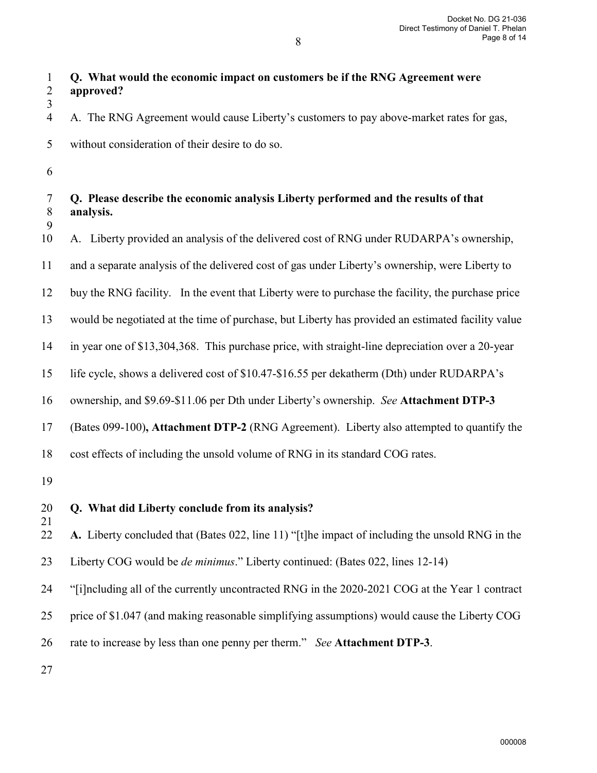| Q. What would the economic impact on customers be if the RNG Agreement were |
|-----------------------------------------------------------------------------|
| $2$ anneavad?                                                               |

2 **approved?** 3

4 A.The RNG Agreement would cause Liberty's customers to pay above-market rates for gas,

- 5 without consideration of their desire to do so.
- 6

### 7 **Q. Please describe the economic analysis Liberty performed and the results of that**  8 **analysis.** 9

10 A.Liberty provided an analysis of the delivered cost of RNG under RUDARPA's ownership,

11 and a separate analysis of the delivered cost of gas under Liberty's ownership, were Liberty to

12 buy the RNG facility. In the event that Liberty were to purchase the facility, the purchase price

13 would be negotiated at the time of purchase, but Liberty has provided an estimated facility value

14 in year one of \$13,304,368. This purchase price, with straight-line depreciation over a 20-year

15 life cycle, shows a delivered cost of \$10.47-\$16.55 per dekatherm (Dth) under RUDARPA's

16 ownership, and \$9.69-\$11.06 per Dth under Liberty's ownership. *See* **Attachment DTP-3**

17 (Bates 099-100)**, Attachment DTP-2** (RNG Agreement). Liberty also attempted to quantify the

18 cost effects of including the unsold volume of RNG in its standard COG rates.

19

21

20 **Q. What did Liberty conclude from its analysis?**

22 **A.** Liberty concluded that (Bates 022, line 11) "[t]he impact of including the unsold RNG in the

23 Liberty COG would be *de minimus*." Liberty continued: (Bates 022, lines 12-14)

24 "[i]ncluding all of the currently uncontracted RNG in the 2020-2021 COG at the Year 1 contract

25 price of \$1.047 (and making reasonable simplifying assumptions) would cause the Liberty COG

26 rate to increase by less than one penny per therm." *See* **Attachment DTP-3**.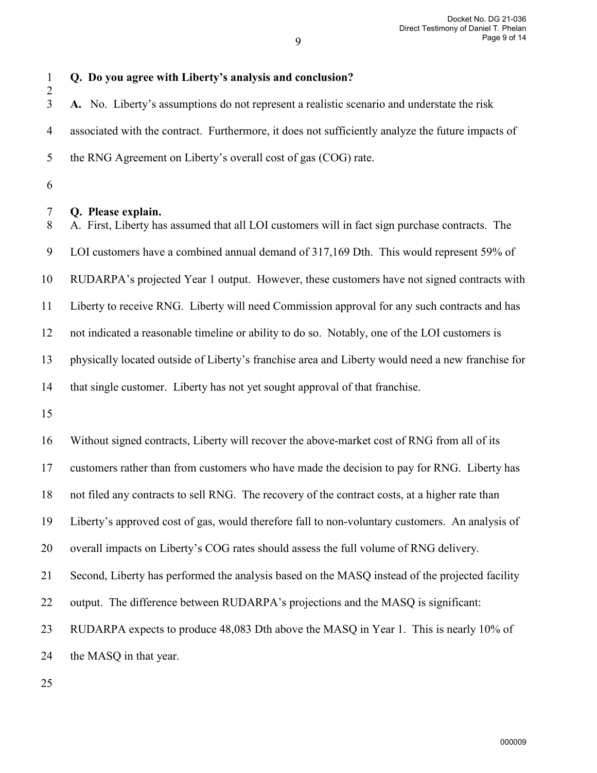1 **Q. Do you agree with Liberty's analysis and conclusion?** 2 3 **A.** No. Liberty's assumptions do not represent a realistic scenario and understate the risk 4 associated with the contract. Furthermore, it does not sufficiently analyze the future impacts of 5 the RNG Agreement on Liberty's overall cost of gas (COG) rate. 6 7 **Q. Please explain.**

8 A.First, Liberty has assumed that all LOI customers will in fact sign purchase contracts. The 9 LOI customers have a combined annual demand of 317,169 Dth. This would represent 59% of 10 RUDARPA's projected Year 1 output. However, these customers have not signed contracts with 11 Liberty to receive RNG. Liberty will need Commission approval for any such contracts and has 12 not indicated a reasonable timeline or ability to do so. Notably, one of the LOI customers is 13 physically located outside of Liberty's franchise area and Liberty would need a new franchise for 14 that single customer. Liberty has not yet sought approval of that franchise.

15

16 Without signed contracts, Liberty will recover the above-market cost of RNG from all of its 17 customers rather than from customers who have made the decision to pay for RNG. Liberty has 18 not filed any contracts to sell RNG. The recovery of the contract costs, at a higher rate than 19 Liberty's approved cost of gas, would therefore fall to non-voluntary customers. An analysis of 20 overall impacts on Liberty's COG rates should assess the full volume of RNG delivery. 21 Second, Liberty has performed the analysis based on the MASQ instead of the projected facility 22 output. The difference between RUDARPA's projections and the MASQ is significant: 23 RUDARPA expects to produce 48,083 Dth above the MASQ in Year 1. This is nearly 10% of 24 the MASQ in that year.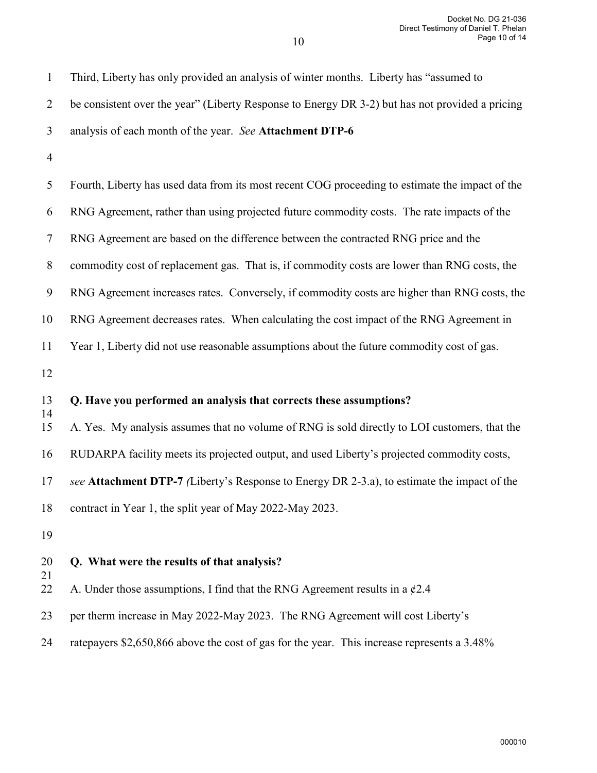| $\mathbf{1}$     | Third, Liberty has only provided an analysis of winter months. Liberty has "assumed to          |
|------------------|-------------------------------------------------------------------------------------------------|
| $\overline{2}$   | be consistent over the year" (Liberty Response to Energy DR 3-2) but has not provided a pricing |
| 3                | analysis of each month of the year. See Attachment DTP-6                                        |
| $\overline{4}$   |                                                                                                 |
| 5                | Fourth, Liberty has used data from its most recent COG proceeding to estimate the impact of the |
| 6                | RNG Agreement, rather than using projected future commodity costs. The rate impacts of the      |
| $\tau$           | RNG Agreement are based on the difference between the contracted RNG price and the              |
| $8\phantom{.}$   | commodity cost of replacement gas. That is, if commodity costs are lower than RNG costs, the    |
| $\boldsymbol{9}$ | RNG Agreement increases rates. Conversely, if commodity costs are higher than RNG costs, the    |
| 10               | RNG Agreement decreases rates. When calculating the cost impact of the RNG Agreement in         |
| 11               | Year 1, Liberty did not use reasonable assumptions about the future commodity cost of gas.      |
| 12               |                                                                                                 |
| 13               | Q. Have you performed an analysis that corrects these assumptions?                              |
| 14<br>15         | A. Yes. My analysis assumes that no volume of RNG is sold directly to LOI customers, that the   |
| 16               | RUDARPA facility meets its projected output, and used Liberty's projected commodity costs,      |
| 17               | see Attachment DTP-7 (Liberty's Response to Energy DR 2-3.a), to estimate the impact of the     |
| 18               | contract in Year 1, the split year of May 2022-May 2023.                                        |
| 19               |                                                                                                 |
| 20               | Q. What were the results of that analysis?                                                      |
| 21<br>22         | A. Under those assumptions, I find that the RNG Agreement results in a $\varphi$ 2.4            |
| 23               | per therm increase in May 2022-May 2023. The RNG Agreement will cost Liberty's                  |
| 24               | ratepayers \$2,650,866 above the cost of gas for the year. This increase represents a 3.48%     |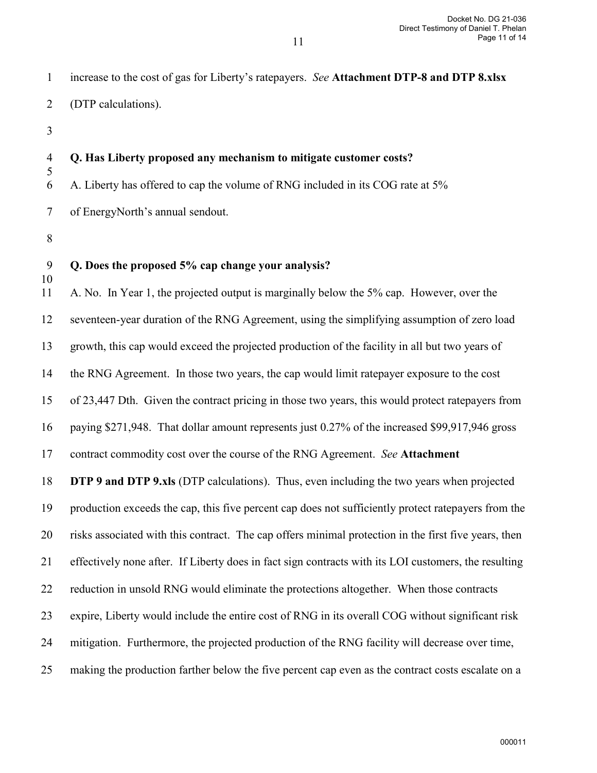1 increase to the cost of gas for Liberty's ratepayers. *See* **Attachment DTP-8 and DTP 8.xlsx**  2 (DTP calculations).

3

5

#### 4 **Q. Has Liberty proposed any mechanism to mitigate customer costs?**

6 A. Liberty has offered to cap the volume of RNG included in its COG rate at 5%

7 of EnergyNorth's annual sendout.

8

10

# 9 **Q. Does the proposed 5% cap change your analysis?**

11 A. No. In Year 1, the projected output is marginally below the 5% cap. However, over the 12 seventeen-year duration of the RNG Agreement, using the simplifying assumption of zero load 13 growth, this cap would exceed the projected production of the facility in all but two years of 14 the RNG Agreement. In those two years, the cap would limit ratepayer exposure to the cost 15 of 23,447 Dth. Given the contract pricing in those two years, this would protect ratepayers from 16 paying \$271,948. That dollar amount represents just 0.27% of the increased \$99,917,946 gross 17 contract commodity cost over the course of the RNG Agreement. *See* **Attachment**  18 **DTP 9 and DTP 9.xls** (DTP calculations). Thus, even including the two years when projected 19 production exceeds the cap, this five percent cap does not sufficiently protect ratepayers from the 20 risks associated with this contract. The cap offers minimal protection in the first five years, then 21 effectively none after. If Liberty does in fact sign contracts with its LOI customers, the resulting 22 reduction in unsold RNG would eliminate the protections altogether. When those contracts 23 expire, Liberty would include the entire cost of RNG in its overall COG without significant risk

24 mitigation. Furthermore, the projected production of the RNG facility will decrease over time,

25 making the production farther below the five percent cap even as the contract costs escalate on a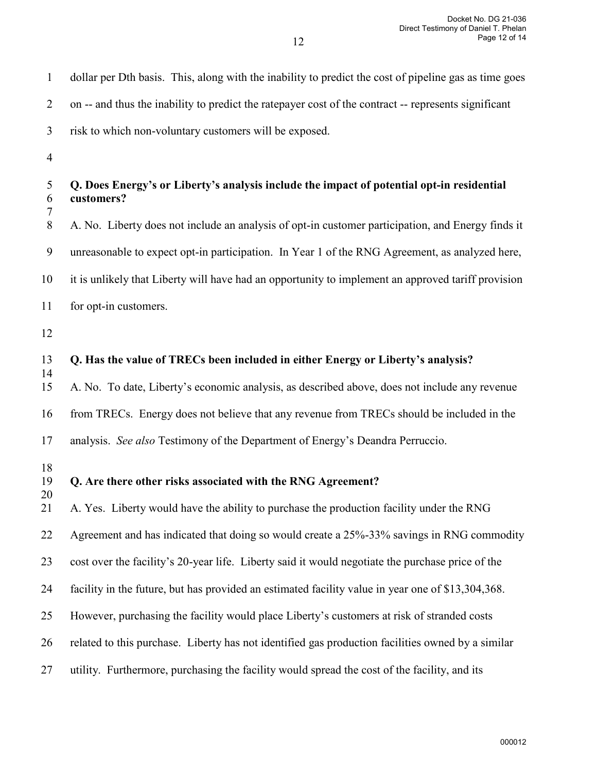| $\mathbf{1}$     | dollar per Dth basis. This, along with the inability to predict the cost of pipeline gas as time goes   |
|------------------|---------------------------------------------------------------------------------------------------------|
| $\overline{2}$   | on -- and thus the inability to predict the ratepayer cost of the contract -- represents significant    |
| 3                | risk to which non-voluntary customers will be exposed.                                                  |
| $\overline{4}$   |                                                                                                         |
| 5<br>6<br>7      | Q. Does Energy's or Liberty's analysis include the impact of potential opt-in residential<br>customers? |
| $8\,$            | A. No. Liberty does not include an analysis of opt-in customer participation, and Energy finds it       |
| $\boldsymbol{9}$ | unreasonable to expect opt-in participation. In Year 1 of the RNG Agreement, as analyzed here,          |
| 10               | it is unlikely that Liberty will have had an opportunity to implement an approved tariff provision      |
| 11               | for opt-in customers.                                                                                   |
| 12               |                                                                                                         |
| 13<br>14         | Q. Has the value of TRECs been included in either Energy or Liberty's analysis?                         |
| 15               | A. No. To date, Liberty's economic analysis, as described above, does not include any revenue           |
| 16               | from TRECs. Energy does not believe that any revenue from TRECs should be included in the               |
| 17               | analysis. See also Testimony of the Department of Energy's Deandra Perruccio.                           |
| 18<br>19<br>20   | Q. Are there other risks associated with the RNG Agreement?                                             |
| 21               | A. Yes. Liberty would have the ability to purchase the production facility under the RNG                |
| 22               | Agreement and has indicated that doing so would create a 25%-33% savings in RNG commodity               |
| 23               | cost over the facility's 20-year life. Liberty said it would negotiate the purchase price of the        |
| 24               | facility in the future, but has provided an estimated facility value in year one of \$13,304,368.       |
| 25               | However, purchasing the facility would place Liberty's customers at risk of stranded costs              |
| 26               | related to this purchase. Liberty has not identified gas production facilities owned by a similar       |
| 27               | utility. Furthermore, purchasing the facility would spread the cost of the facility, and its            |
|                  |                                                                                                         |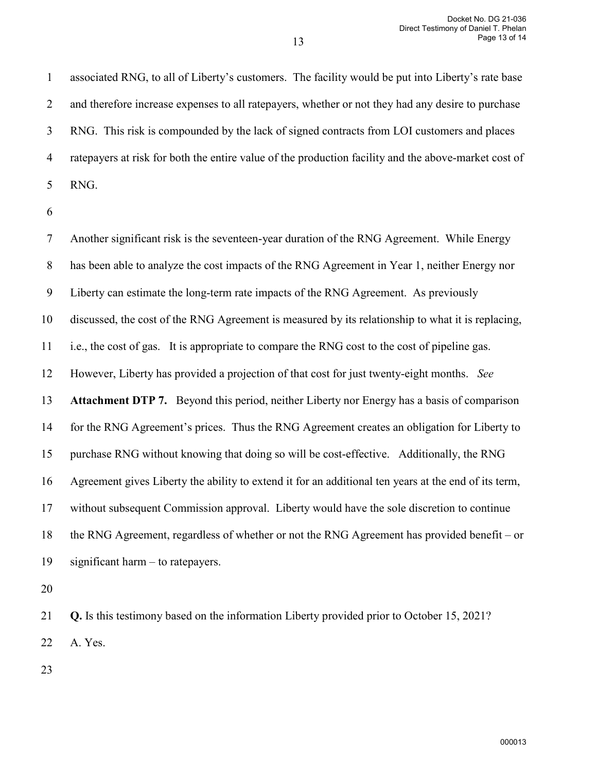1 associated RNG, to all of Liberty's customers. The facility would be put into Liberty's rate base 2 and therefore increase expenses to all ratepayers, whether or not they had any desire to purchase 3 RNG. This risk is compounded by the lack of signed contracts from LOI customers and places 4 ratepayers at risk for both the entire value of the production facility and the above-market cost of 5 RNG.

13

6

7 Another significant risk is the seventeen-year duration of the RNG Agreement. While Energy 8 has been able to analyze the cost impacts of the RNG Agreement in Year 1, neither Energy nor 9 Liberty can estimate the long-term rate impacts of the RNG Agreement. As previously 10 discussed, the cost of the RNG Agreement is measured by its relationship to what it is replacing, 11 i.e., the cost of gas. It is appropriate to compare the RNG cost to the cost of pipeline gas. 12 However, Liberty has provided a projection of that cost for just twenty-eight months. *See*  13 **Attachment DTP 7.** Beyond this period, neither Liberty nor Energy has a basis of comparison 14 for the RNG Agreement's prices. Thus the RNG Agreement creates an obligation for Liberty to 15 purchase RNG without knowing that doing so will be cost-effective. Additionally, the RNG 16 Agreement gives Liberty the ability to extend it for an additional ten years at the end of its term, 17 without subsequent Commission approval. Liberty would have the sole discretion to continue 18 the RNG Agreement, regardless of whether or not the RNG Agreement has provided benefit – or 19 significant harm – to ratepayers.

20

21 **Q.** Is this testimony based on the information Liberty provided prior to October 15, 2021? 22 A. Yes.